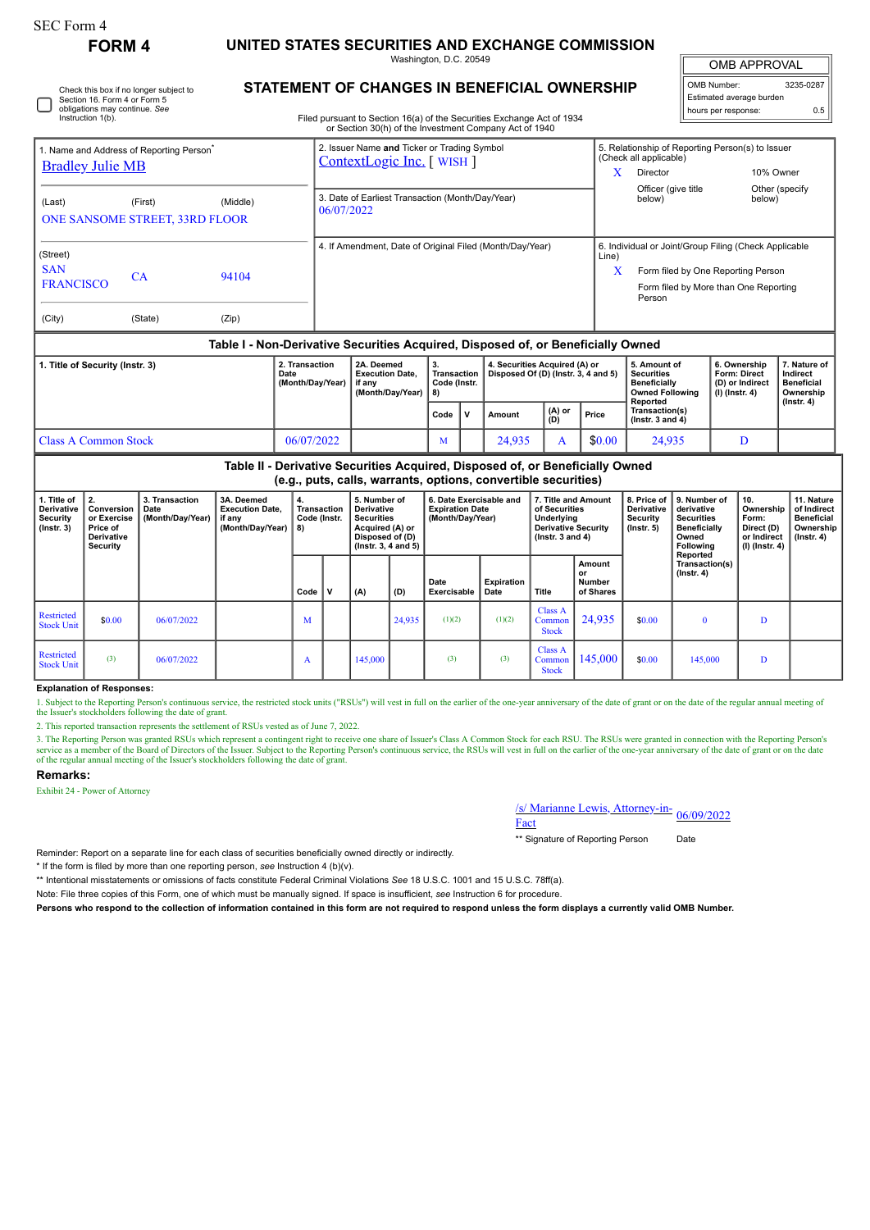## **FORM 4 UNITED STATES SECURITIES AND EXCHANGE COMMISSION**

Washington, D.C. 20549

OMB APPROVAL

 $\mathbb{I}$ 

| OMB Number:              | 3235-0287 |
|--------------------------|-----------|
| Estimated average burden |           |
| hours per response:      | ሰ 5       |

Check this box if no longer subject to Section 16. Form 4 or Form 5 obligations may continue. *See* Instruction 1(b).

## **STATEMENT OF CHANGES IN BENEFICIAL OWNERSHIP**

Filed pursuant to Section 16(a) of the Securities Exchange Act of 1934

|                                                                                                                            |                                             |                                            |                                                                    |                                                                |                                                                         | or Section 30(h) of the Investment Company Act of 1940                                                                                          |                                                                       |        |                                                                      |                                                                                         |       |                                        |                                                                                                                                                |                                                                        |                                                                     |                                         |                                                                                |
|----------------------------------------------------------------------------------------------------------------------------|---------------------------------------------|--------------------------------------------|--------------------------------------------------------------------|----------------------------------------------------------------|-------------------------------------------------------------------------|-------------------------------------------------------------------------------------------------------------------------------------------------|-----------------------------------------------------------------------|--------|----------------------------------------------------------------------|-----------------------------------------------------------------------------------------|-------|----------------------------------------|------------------------------------------------------------------------------------------------------------------------------------------------|------------------------------------------------------------------------|---------------------------------------------------------------------|-----------------------------------------|--------------------------------------------------------------------------------|
| 1. Name and Address of Reporting Person<br><b>Bradley Julie MB</b>                                                         |                                             |                                            |                                                                    |                                                                | 2. Issuer Name and Ticker or Trading Symbol<br>ContextLogic Inc. [WISH] |                                                                                                                                                 |                                                                       |        |                                                                      |                                                                                         |       | X                                      | (Check all applicable)<br>Director                                                                                                             |                                                                        | 5. Relationship of Reporting Person(s) to Issuer<br>10% Owner       |                                         |                                                                                |
| (Last)                                                                                                                     |                                             | (First)<br>ONE SANSOME STREET, 33RD FLOOR  |                                                                    | 3. Date of Earliest Transaction (Month/Day/Year)<br>06/07/2022 |                                                                         |                                                                                                                                                 |                                                                       |        |                                                                      |                                                                                         |       | Officer (give title<br>below)          |                                                                                                                                                | Other (specify<br>below)                                               |                                                                     |                                         |                                                                                |
| (Street)<br><b>SAN</b><br>94104<br>CA<br><b>FRANCISCO</b>                                                                  |                                             |                                            |                                                                    |                                                                |                                                                         | 4. If Amendment, Date of Original Filed (Month/Day/Year)                                                                                        |                                                                       |        |                                                                      |                                                                                         |       |                                        | 6. Individual or Joint/Group Filing (Check Applicable<br>Form filed by One Reporting Person<br>Form filed by More than One Reporting<br>Person |                                                                        |                                                                     |                                         |                                                                                |
| (City)                                                                                                                     |                                             | (State)                                    | (Zip)                                                              |                                                                |                                                                         |                                                                                                                                                 |                                                                       |        |                                                                      |                                                                                         |       |                                        |                                                                                                                                                |                                                                        |                                                                     |                                         |                                                                                |
|                                                                                                                            |                                             |                                            |                                                                    |                                                                |                                                                         | Table I - Non-Derivative Securities Acquired, Disposed of, or Beneficially Owned                                                                |                                                                       |        |                                                                      |                                                                                         |       |                                        |                                                                                                                                                |                                                                        |                                                                     |                                         |                                                                                |
| 2. Transaction<br>1. Title of Security (Instr. 3)<br>Date<br>(Month/Day/Year)<br><b>Class A Common Stock</b><br>06/07/2022 |                                             |                                            |                                                                    |                                                                |                                                                         | 2A. Deemed<br><b>Execution Date,</b><br>if any<br>(Month/Day/Year)                                                                              | 3.<br>Transaction<br>Code (Instr.<br>8)                               |        | 4. Securities Acquired (A) or<br>Disposed Of (D) (Instr. 3, 4 and 5) |                                                                                         |       |                                        | 5. Amount of<br><b>Securities</b><br><b>Beneficially</b><br><b>Owned Following</b><br>Reported                                                 |                                                                        | 6. Ownership<br>Form: Direct<br>(D) or Indirect<br>$(I)$ (Instr. 4) |                                         | 7. Nature of<br>Indirect<br><b>Beneficial</b><br>Ownership<br>$($ Instr. 4 $)$ |
|                                                                                                                            |                                             |                                            |                                                                    |                                                                |                                                                         | Code                                                                                                                                            | $\mathbf v$                                                           | Amount | (A) or<br>(D)                                                        |                                                                                         | Price | Transaction(s)<br>( $lnstr. 3 and 4$ ) |                                                                                                                                                |                                                                        |                                                                     |                                         |                                                                                |
|                                                                                                                            |                                             |                                            |                                                                    |                                                                |                                                                         |                                                                                                                                                 | M                                                                     |        | 24,935                                                               | $\mathbf{A}$                                                                            |       | \$0.00                                 | 24,935                                                                                                                                         |                                                                        |                                                                     | D                                       |                                                                                |
|                                                                                                                            |                                             |                                            |                                                                    |                                                                |                                                                         | Table II - Derivative Securities Acquired, Disposed of, or Beneficially Owned<br>(e.g., puts, calls, warrants, options, convertible securities) |                                                                       |        |                                                                      |                                                                                         |       |                                        |                                                                                                                                                |                                                                        |                                                                     |                                         |                                                                                |
| 1. Title of<br><b>Derivative</b><br><b>Security</b><br>$($ lnstr. $3)$                                                     | 2.<br>Conversion<br>or Exercise<br>Price of | 3. Transaction<br>Date<br>(Month/Day/Year) | 3A. Deemed<br><b>Execution Date,</b><br>if anv<br>(Month/Dav/Year) | 8)                                                             | <b>Transaction</b><br>Code (Instr.                                      | 5. Number of<br><b>Derivative</b><br><b>Securities</b><br>Acquired (A) or                                                                       | 6. Date Exercisable and<br><b>Expiration Date</b><br>(Month/Day/Year) |        |                                                                      | 7. Title and Amount<br>of Securities<br><b>Underlying</b><br><b>Derivative Security</b> |       |                                        | 8. Price of<br><b>Derivative</b><br><b>Security</b><br>$($ lnstr. 5 $)$                                                                        | 9. Number of<br>derivative<br><b>Securities</b><br><b>Beneficially</b> |                                                                     | 10.<br>Ownership<br>Form:<br>Direct (D) | 11. Nature<br>of Indirect<br><b>Beneficial</b><br>Ownership                    |

| Penvauve<br>Security<br>$($ lnstr. 3 $)$ | <b>UUIIVEISIUII I DALE</b><br>or Exercise<br>Price of<br>Derivative<br>Security | (Month/Day/Year) | LAGUUUUII DUUG.<br>if any<br>(Month/Day/Year) $  8$ ) | <b>Hansacuon</b><br>Code (Instr. |   | Penvauve<br><b>Securities</b><br>Acquired (A) or<br>Disposed of (D)<br>$($ lnstr. 3, 4 and 5 $)$ |        | <b>LADITATION DATE</b><br>(Month/Day/Year) |                    | u ucumuca<br>Underlying<br><b>Derivative Security</b><br>( $lnstr. 3 and 4$ ) |                                     | <b>Delivative</b><br>Security<br>(Instr. 5) | uchvauvc<br>Securities<br><b>Beneficially</b><br>Owned<br>Following<br>Reported | <b>UWHERE</b><br>Form:<br>Direct (D)<br>or Indirect<br>(I) (Instr. 4) | vi illullevt<br><b>Beneficial</b><br>Ownership<br>$($ lnstr. 4 $)$ |
|------------------------------------------|---------------------------------------------------------------------------------|------------------|-------------------------------------------------------|----------------------------------|---|--------------------------------------------------------------------------------------------------|--------|--------------------------------------------|--------------------|-------------------------------------------------------------------------------|-------------------------------------|---------------------------------------------|---------------------------------------------------------------------------------|-----------------------------------------------------------------------|--------------------------------------------------------------------|
|                                          |                                                                                 |                  |                                                       | Code I                           | v | (A)                                                                                              | (D)    | Date<br>Exercisable                        | Expiration<br>Date | Title                                                                         | Amount<br>or<br>Number<br>of Shares |                                             | Transaction(s)<br>$($ lnstr. 4 $)$                                              |                                                                       |                                                                    |
| Restricted<br><b>Stock Unit</b>          | \$0.00                                                                          | 06/07/2022       |                                                       | M                                |   |                                                                                                  | 24,935 | (1)(2)                                     | (1)(2)             | Class A<br>Common<br><b>Stock</b>                                             | 24,935                              | \$0.00                                      |                                                                                 | D                                                                     |                                                                    |
| Restricted<br><b>Stock Unit</b>          | (3)                                                                             | 06/07/2022       |                                                       | A                                |   | 145,000                                                                                          |        | (3)                                        | (3)                | Class A<br>Common<br><b>Stock</b>                                             | 145,000                             | \$0.00                                      | 145,000                                                                         | D                                                                     |                                                                    |

## **Explanation of Responses:**

1. Subject to the Reporting Person's continuous service, the restricted stock units ("RSUs") will vest in full on the earlier of the one-year anniversary of the date of grant or on the date of the regular annual meeting of the Issuer's stockholders following the date of grant.

2. This reported transaction represents the settlement of RSUs vested as of June 7, 2022.

3. The Reporting Person was granted RSUs which represent a contingent right to receive one share of Issuer's Class A Common Stock for each RSU. The RSUs were granted in connection with the Reporting Person's service as a member of the Board of Directors of the Issuer. Subject to the Reporting Person's continuous service, the RSUs will vest in full on the earlier of the one-year anniversary of the date of grant or on the date of the regular annual meeting of the Issuer's stockholders following the date of grant.

## **Remarks:**

Exhibit 24 - Power of Attorney

/s/ Marianne Lewis, Attorney-in-<br>Fact

\*\* Signature of Reporting Person Date

Reminder: Report on a separate line for each class of securities beneficially owned directly or indirectly.

\* If the form is filed by more than one reporting person, *see* Instruction 4 (b)(v).

\*\* Intentional misstatements or omissions of facts constitute Federal Criminal Violations *See* 18 U.S.C. 1001 and 15 U.S.C. 78ff(a).

Note: File three copies of this Form, one of which must be manually signed. If space is insufficient, *see* Instruction 6 for procedure.

**Persons who respond to the collection of information contained in this form are not required to respond unless the form displays a currently valid OMB Number.**